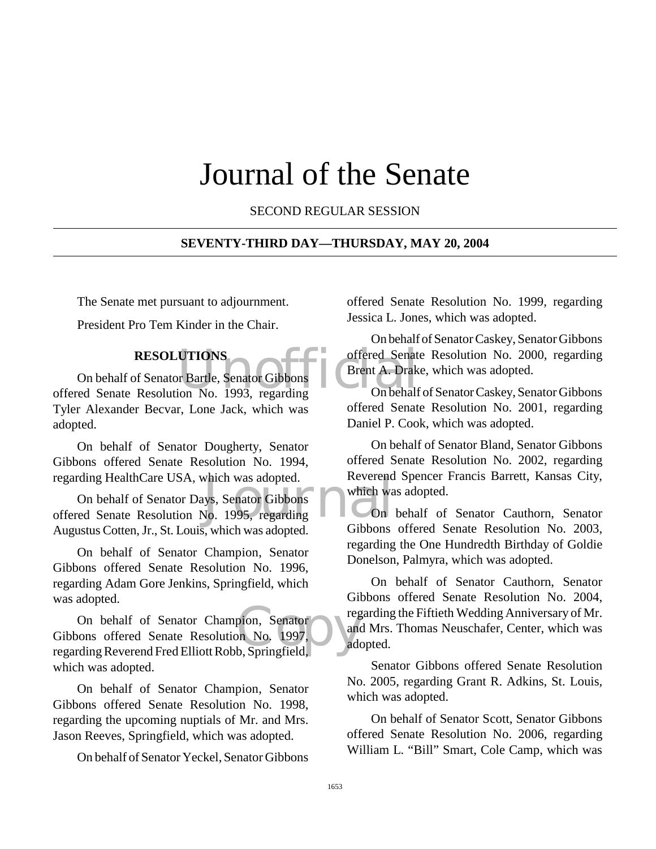# Journal of the Senate

SECOND REGULAR SESSION

#### **SEVENTY-THIRD DAY—THURSDAY, MAY 20, 2004**

The Senate met pursuant to adjournment.

President Pro Tem Kinder in the Chair.

## **RESOLUTIONS**

UTIONS<br>
offered Senator<br>
Frent A. Drak<br>
ion No. 1993, regarding<br>
On behalf On behalf of Senator Bartle, Senator Gibbons offered Senate Resolution No. 1993, regarding Tyler Alexander Becvar, Lone Jack, which was adopted.

On behalf of Senator Dougherty, Senator Gibbons offered Senate Resolution No. 1994, regarding HealthCare USA, which was adopted.

which was adopted.<br>
Which was a which was<br>
No. 1995, regarding<br>
On On behalf of Senator Days, Senator Gibbons offered Senate Resolution No. 1995, regarding Augustus Cotten, Jr., St. Louis, which was adopted.

On behalf of Senator Champion, Senator Gibbons offered Senate Resolution No. 1996, regarding Adam Gore Jenkins, Springfield, which was adopted.

On behalf of Senator Champion, Senator regarding Reverend Fred Elliott Robb, Springfield, On behalf of Senator Champion, Senator Gibbons offered Senate Resolution No. 1997, which was adopted.

On behalf of Senator Champion, Senator Gibbons offered Senate Resolution No. 1998, regarding the upcoming nuptials of Mr. and Mrs. Jason Reeves, Springfield, which was adopted.

On behalf of Senator Yeckel, Senator Gibbons

offered Senate Resolution No. 1999, regarding Jessica L. Jones, which was adopted.

On behalf of Senator Caskey, Senator Gibbons offered Senate Resolution No. 2000, regarding Brent A. Drake, which was adopted.

On behalf of Senator Caskey, Senator Gibbons offered Senate Resolution No. 2001, regarding Daniel P. Cook, which was adopted.

On behalf of Senator Bland, Senator Gibbons offered Senate Resolution No. 2002, regarding Reverend Spencer Francis Barrett, Kansas City, which was adopted.

On behalf of Senator Cauthorn, Senator Gibbons offered Senate Resolution No. 2003, regarding the One Hundredth Birthday of Goldie Donelson, Palmyra, which was adopted.

On behalf of Senator Cauthorn, Senator Gibbons offered Senate Resolution No. 2004, regarding the Fiftieth Wedding Anniversary of Mr. and Mrs. Thomas Neuschafer, Center, which was adopted.

Senator Gibbons offered Senate Resolution No. 2005, regarding Grant R. Adkins, St. Louis, which was adopted.

On behalf of Senator Scott, Senator Gibbons offered Senate Resolution No. 2006, regarding William L. "Bill" Smart, Cole Camp, which was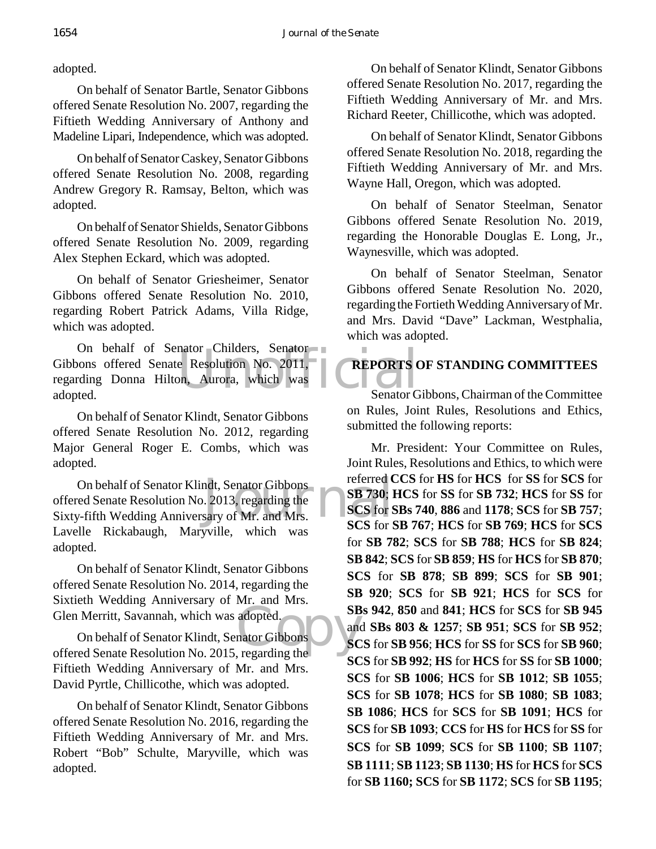adopted.

On behalf of Senator Bartle, Senator Gibbons offered Senate Resolution No. 2007, regarding the Fiftieth Wedding Anniversary of Anthony and Madeline Lipari, Independence, which was adopted.

On behalf of Senator Caskey, Senator Gibbons offered Senate Resolution No. 2008, regarding Andrew Gregory R. Ramsay, Belton, which was adopted.

On behalf of Senator Shields, Senator Gibbons offered Senate Resolution No. 2009, regarding Alex Stephen Eckard, which was adopted.

On behalf of Senator Griesheimer, Senator Gibbons offered Senate Resolution No. 2010, regarding Robert Patrick Adams, Villa Ridge, which was adopted.

nator Childers, Senator<br>
e Resolution No. 2011,<br>
on, Aurora, which was Renator G On behalf of Senator Childers, Senator Gibbons offered Senate Resolution No. 2011, regarding Donna Hilton, Aurora, which was adopted.

On behalf of Senator Klindt, Senator Gibbons offered Senate Resolution No. 2012, regarding Major General Roger E. Combs, which was adopted.

ndt, Senator Gibbons<br>
. 2013, regarding the<br>
sary of Mr. and Mrs.<br>
SCS for S On behalf of Senator Klindt, Senator Gibbons offered Senate Resolution No. 2013, regarding the Sixty-fifth Wedding Anniversary of Mr. and Mrs. Lavelle Rickabaugh, Maryville, which was adopted.

On behalf of Senator Klindt, Senator Gibbons offered Senate Resolution No. 2014, regarding the Sixtieth Wedding Anniversary of Mr. and Mrs. Glen Merritt, Savannah, which was adopted.

adopted.<br>
mator Gibbons<br>
regarding the On behalf of Senator Klindt, Senator Gibbons offered Senate Resolution No. 2015, regarding the Fiftieth Wedding Anniversary of Mr. and Mrs. David Pyrtle, Chillicothe, which was adopted.

On behalf of Senator Klindt, Senator Gibbons offered Senate Resolution No. 2016, regarding the Fiftieth Wedding Anniversary of Mr. and Mrs. Robert "Bob" Schulte, Maryville, which was adopted.

On behalf of Senator Klindt, Senator Gibbons offered Senate Resolution No. 2017, regarding the Fiftieth Wedding Anniversary of Mr. and Mrs. Richard Reeter, Chillicothe, which was adopted.

On behalf of Senator Klindt, Senator Gibbons offered Senate Resolution No. 2018, regarding the Fiftieth Wedding Anniversary of Mr. and Mrs. Wayne Hall, Oregon, which was adopted.

On behalf of Senator Steelman, Senator Gibbons offered Senate Resolution No. 2019, regarding the Honorable Douglas E. Long, Jr., Waynesville, which was adopted.

On behalf of Senator Steelman, Senator Gibbons offered Senate Resolution No. 2020, regarding the Fortieth Wedding Anniversary of Mr. and Mrs. David "Dave" Lackman, Westphalia, which was adopted.

# **REPORTS OF STANDING COMMITTEES**

Senator Gibbons, Chairman of the Committee on Rules, Joint Rules, Resolutions and Ethics, submitted the following reports:

Mr. President: Your Committee on Rules, Joint Rules, Resolutions and Ethics, to which were referred **CCS** for **HS** for **HCS** for **SS** for **SCS** for **SB 730**; **HCS** for **SS** for **SB 732**; **HCS** for **SS** for **SCS** for **SBs 740**, **886** and **1178**; **SCS** for **SB 757**; **SCS** for **SB 767**; **HCS** for **SB 769**; **HCS** for **SCS** for **SB 782**; **SCS** for **SB 788**; **HCS** for **SB 824**; **SB 842**; **SCS** for **SB 859**; **HS** for **HCS** for **SB 870**; **SCS** for **SB 878**; **SB 899**; **SCS** for **SB 901**; **SB 920**; **SCS** for **SB 921**; **HCS** for **SCS** for **SBs 942**, **850** and **841**; **HCS** for **SCS** for **SB 945** and **SBs 803 & 1257**; **SB 951**; **SCS** for **SB 952**; **SCS** for **SB 956**; **HCS** for **SS** for **SCS** for **SB 960**; **SCS** for **SB 992**; **HS** for **HCS** for **SS** for **SB 1000**; **SCS** for **SB 1006**; **HCS** for **SB 1012**; **SB 1055**; **SCS** for **SB 1078**; **HCS** for **SB 1080**; **SB 1083**; **SB 1086**; **HCS** for **SCS** for **SB 1091**; **HCS** for **SCS** for **SB 1093**; **CCS** for **HS** for **HCS** for **SS** for **SCS** for **SB 1099**; **SCS** for **SB 1100**; **SB 1107**; **SB 1111**; **SB 1123**; **SB 1130**; **HS** for **HCS** for **SCS** for **SB 1160; SCS** for **SB 1172**; **SCS** for **SB 1195**;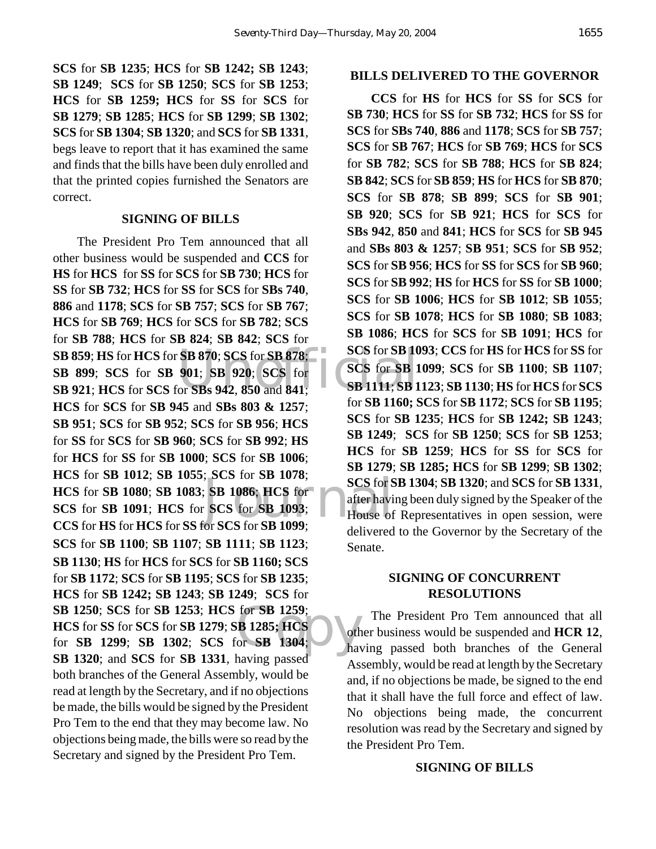**SCS** for **SB 1235**; **HCS** for **SB 1242; SB 1243**; **SB 1249**; **SCS** for **SB 1250**; **SCS** for **SB 1253**; **HCS** for **SB 1259; HCS** for **SS** for **SCS** for **SB 1279**; **SB 1285**; **HCS** for **SB 1299**; **SB 1302**; **SCS** for **SB 1304**; **SB 1320**; and **SCS** for **SB 1331**, begs leave to report that it has examined the same and finds that the bills have been duly enrolled and that the printed copies furnished the Senators are correct.

#### **SIGNING OF BILLS**

**SB 859**; **HS** for **HCS** for **SB 870**; **SCS** for **SB 878**; **SCS** for **SB 10**<br> **SB 899**; **SCS** for **SB 901**; **SB 920**; **SCS** for **SCS** for **SB 1**<br> **SB 921**; **HCS** for **SCS** for **SBs 942**, **850** and **841**; **SB 1111**; **SB 1**  $\begin{array}{c}\n 100000 \\
 \text{SCS for } S \\
 \text{SCS for } S\n \end{array}$ <br>
SCS for SB 1093;<br>
SCS for SB 1093;<br>  $\begin{array}{c}\n 10000\n \end{array}$ **SB 1250**; **SCS** for **SB 1253**; **HCS** for **SB 1259**;<br> **HCS** for **SS** for **SCS** for **SB 1279**; **SB 1285**; **HCS**<br> **for SB 1299**; **SB 1302**; **SCS** for **SB 1304**; <br> **for** 1220, and SCS for SD 1221, larger appel The President Pro Tem announced that all other business would be suspended and **CCS** for **HS** for **HCS** for **SS** for **SCS** for **SB 730**; **HCS** for **SS** for **SB 732**; **HCS** for **SS** for **SCS** for **SBs 740**, **886** and **1178**; **SCS** for **SB 757**; **SCS** for **SB 767**; **HCS** for **SB 769**; **HCS** for **SCS** for **SB 782**; **SCS** for **SB 788**; **HCS** for **SB 824**; **SB 842**; **SCS** for **SB 899**; **SCS** for **SB 901**; **SB 920**; **SCS** for **SB 921**; **HCS** for **SCS** for **SBs 942**, **850** and **841**; **HCS** for **SCS** for **SB 945** and **SBs 803 & 1257**; **SB 951**; **SCS** for **SB 952**; **SCS** for **SB 956**; **HCS** for **SS** for **SCS** for **SB 960**; **SCS** for **SB 992**; **HS** for **HCS** for **SS** for **SB 1000**; **SCS** for **SB 1006**; **HCS** for **SB 1012**; **SB 1055**; **SCS** for **SB 1078**; **HCS** for **SB 1080**; **SB 1083**; **SB 1086**; **HCS** for **SCS** for **SB 1091**; **HCS** for **SCS** for **SB 1093**; **CCS** for **HS** for **HCS** for **SS** for **SCS** for **SB 1099**; **SCS** for **SB 1100**; **SB 1107**; **SB 1111**; **SB 1123**; **SB 1130**; **HS** for **HCS** for **SCS** for **SB 1160; SCS** for **SB 1172**; **SCS** for **SB 1195**; **SCS** for **SB 1235**; **HCS** for **SB 1242; SB 1243**; **SB 1249**; **SCS** for **HCS** for **SS** for **SCS** for **SB 1279**; **SB 1285; HCS** for **SB 1299**; **SB 1302**; **SCS** for **SB 1304**; **SB 1320**; and **SCS** for **SB 1331**, having passed both branches of the General Assembly, would be read at length by the Secretary, and if no objections be made, the bills would be signed by the President Pro Tem to the end that they may become law. No objections being made, the bills were so read by the Secretary and signed by the President Pro Tem.

#### **BILLS DELIVERED TO THE GOVERNOR**

**CCS** for **HS** for **HCS** for **SS** for **SCS** for **SB 730**; **HCS** for **SS** for **SB 732**; **HCS** for **SS** for **SCS** for **SBs 740**, **886** and **1178**; **SCS** for **SB 757**; **SCS** for **SB 767**; **HCS** for **SB 769**; **HCS** for **SCS** for **SB 782**; **SCS** for **SB 788**; **HCS** for **SB 824**; **SB 842**; **SCS** for **SB 859**; **HS** for **HCS** for **SB 870**; **SCS** for **SB 878**; **SB 899**; **SCS** for **SB 901**; **SB 920**; **SCS** for **SB 921**; **HCS** for **SCS** for **SBs 942**, **850** and **841**; **HCS** for **SCS** for **SB 945** and **SBs 803 & 1257**; **SB 951**; **SCS** for **SB 952**; **SCS** for **SB 956**; **HCS** for **SS** for **SCS** for **SB 960**; **SCS** for **SB 992**; **HS** for **HCS** for **SS** for **SB 1000**; **SCS** for **SB 1006**; **HCS** for **SB 1012**; **SB 1055**; **SCS** for **SB 1078**; **HCS** for **SB 1080**; **SB 1083**; **SB 1086**; **HCS** for **SCS** for **SB 1091**; **HCS** for **SCS** for **SB 1093**; **CCS** for **HS** for **HCS** for **SS** for **SCS** for **SB 1099**; **SCS** for **SB 1100**; **SB 1107**; **SB 1111**; **SB 1123**; **SB 1130**; **HS** for **HCS** for **SCS** for **SB 1160; SCS** for **SB 1172**; **SCS** for **SB 1195**; **SCS** for **SB 1235**; **HCS** for **SB 1242; SB 1243**; **SB 1249**; **SCS** for **SB 1250**; **SCS** for **SB 1253**; **HCS** for **SB 1259**; **HCS** for **SS** for **SCS** for **SB 1279**; **SB 1285; HCS** for **SB 1299**; **SB 1302**; **SCS** for **SB 1304**; **SB 1320**; and **SCS** for **SB 1331**, after having been duly signed by the Speaker of the House of Representatives in open session, were delivered to the Governor by the Secretary of the Senate.

## **SIGNING OF CONCURRENT RESOLUTIONS**

The President Pro Tem announced that all other business would be suspended and **HCR 12**, having passed both branches of the General Assembly, would be read at length by the Secretary and, if no objections be made, be signed to the end that it shall have the full force and effect of law. No objections being made, the concurrent resolution was read by the Secretary and signed by the President Pro Tem.

### **SIGNING OF BILLS**